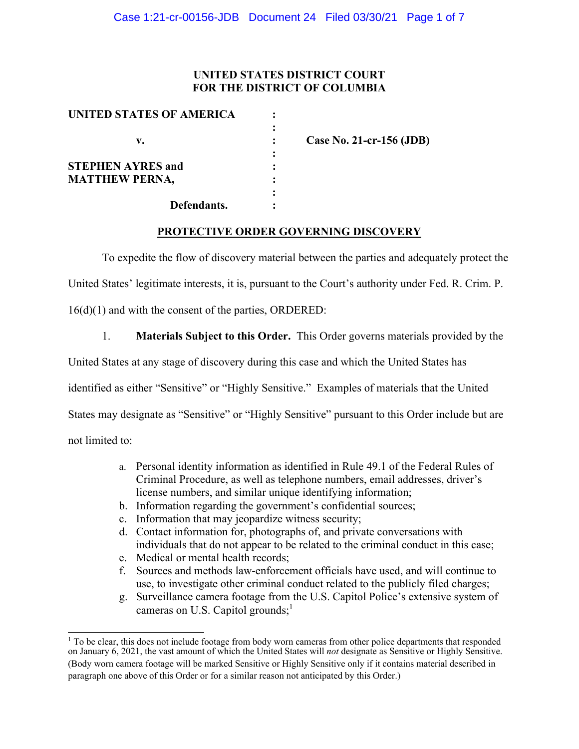## **UNITED STATES DISTRICT COURT FOR THE DISTRICT OF COLUMBIA**

| UNITED STATES OF AMERICA |                          |
|--------------------------|--------------------------|
| v.                       | Case No. 21-cr-156 (JDB) |
|                          |                          |
| <b>STEPHEN AYRES and</b> |                          |
| <b>MATTHEW PERNA,</b>    |                          |
|                          |                          |
| Defendants.              |                          |

**PROTECTIVE ORDER GOVERNING DISCOVERY** 

To expedite the flow of discovery material between the parties and adequately protect the

United States' legitimate interests, it is, pursuant to the Court's authority under Fed. R. Crim. P.

16(d)(1) and with the consent of the parties, ORDERED:

1. **Materials Subject to this Order.** This Order governs materials provided by the

United States at any stage of discovery during this case and which the United States has

identified as either "Sensitive" or "Highly Sensitive." Examples of materials that the United

States may designate as "Sensitive" or "Highly Sensitive" pursuant to this Order include but are

not limited to:

- a. Personal identity information as identified in Rule 49.1 of the Federal Rules of Criminal Procedure, as well as telephone numbers, email addresses, driver's license numbers, and similar unique identifying information;
- b. Information regarding the government's confidential sources;
- c. Information that may jeopardize witness security;
- d. Contact information for, photographs of, and private conversations with individuals that do not appear to be related to the criminal conduct in this case;
- e. Medical or mental health records;
- f. Sources and methods law-enforcement officials have used, and will continue to use, to investigate other criminal conduct related to the publicly filed charges;
- g. Surveillance camera footage from the U.S. Capitol Police's extensive system of cameras on U.S. Capitol grounds; $<sup>1</sup>$ </sup>

<sup>&</sup>lt;sup>1</sup> To be clear, this does not include footage from body worn cameras from other police departments that responded on January 6, 2021, the vast amount of which the United States will *not* designate as Sensitive or Highly Sensitive. (Body worn camera footage will be marked Sensitive or Highly Sensitive only if it contains material described in paragraph one above of this Order or for a similar reason not anticipated by this Order.)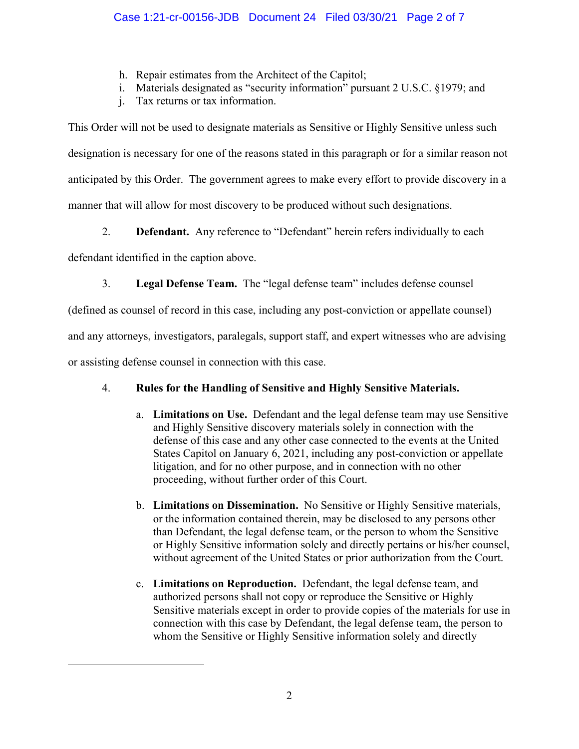- h. Repair estimates from the Architect of the Capitol;
- i. Materials designated as "security information" pursuant 2 U.S.C. §1979; and
- j. Tax returns or tax information.

This Order will not be used to designate materials as Sensitive or Highly Sensitive unless such designation is necessary for one of the reasons stated in this paragraph or for a similar reason not anticipated by this Order. The government agrees to make every effort to provide discovery in a manner that will allow for most discovery to be produced without such designations.

2. **Defendant.** Any reference to "Defendant" herein refers individually to each

defendant identified in the caption above.

3. **Legal Defense Team.** The "legal defense team" includes defense counsel

(defined as counsel of record in this case, including any post-conviction or appellate counsel)

and any attorneys, investigators, paralegals, support staff, and expert witnesses who are advising

or assisting defense counsel in connection with this case.

# 4. **Rules for the Handling of Sensitive and Highly Sensitive Materials.**

- a. **Limitations on Use.** Defendant and the legal defense team may use Sensitive and Highly Sensitive discovery materials solely in connection with the defense of this case and any other case connected to the events at the United States Capitol on January 6, 2021, including any post-conviction or appellate litigation, and for no other purpose, and in connection with no other proceeding, without further order of this Court.
- b. **Limitations on Dissemination.** No Sensitive or Highly Sensitive materials, or the information contained therein, may be disclosed to any persons other than Defendant, the legal defense team, or the person to whom the Sensitive or Highly Sensitive information solely and directly pertains or his/her counsel, without agreement of the United States or prior authorization from the Court.
- c. **Limitations on Reproduction.** Defendant, the legal defense team, and authorized persons shall not copy or reproduce the Sensitive or Highly Sensitive materials except in order to provide copies of the materials for use in connection with this case by Defendant, the legal defense team, the person to whom the Sensitive or Highly Sensitive information solely and directly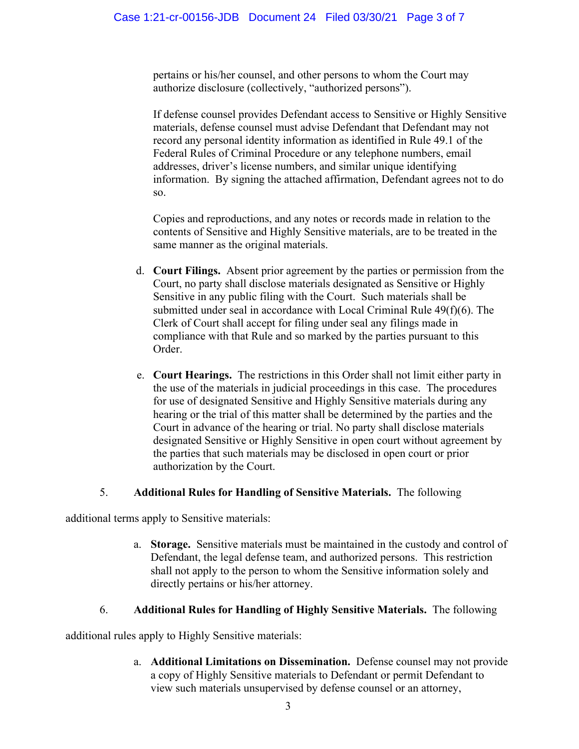pertains or his/her counsel, and other persons to whom the Court may authorize disclosure (collectively, "authorized persons").

If defense counsel provides Defendant access to Sensitive or Highly Sensitive materials, defense counsel must advise Defendant that Defendant may not record any personal identity information as identified in Rule 49.1 of the Federal Rules of Criminal Procedure or any telephone numbers, email addresses, driver's license numbers, and similar unique identifying information. By signing the attached affirmation, Defendant agrees not to do so.

Copies and reproductions, and any notes or records made in relation to the contents of Sensitive and Highly Sensitive materials, are to be treated in the same manner as the original materials.

- d. **Court Filings.** Absent prior agreement by the parties or permission from the Court, no party shall disclose materials designated as Sensitive or Highly Sensitive in any public filing with the Court. Such materials shall be submitted under seal in accordance with Local Criminal Rule 49(f)(6). The Clerk of Court shall accept for filing under seal any filings made in compliance with that Rule and so marked by the parties pursuant to this Order.
- e. **Court Hearings.** The restrictions in this Order shall not limit either party in the use of the materials in judicial proceedings in this case. The procedures for use of designated Sensitive and Highly Sensitive materials during any hearing or the trial of this matter shall be determined by the parties and the Court in advance of the hearing or trial. No party shall disclose materials designated Sensitive or Highly Sensitive in open court without agreement by the parties that such materials may be disclosed in open court or prior authorization by the Court.

## 5. **Additional Rules for Handling of Sensitive Materials.** The following

additional terms apply to Sensitive materials:

a. **Storage.** Sensitive materials must be maintained in the custody and control of Defendant, the legal defense team, and authorized persons. This restriction shall not apply to the person to whom the Sensitive information solely and directly pertains or his/her attorney.

## 6. **Additional Rules for Handling of Highly Sensitive Materials.** The following

additional rules apply to Highly Sensitive materials:

a. **Additional Limitations on Dissemination.** Defense counsel may not provide a copy of Highly Sensitive materials to Defendant or permit Defendant to view such materials unsupervised by defense counsel or an attorney,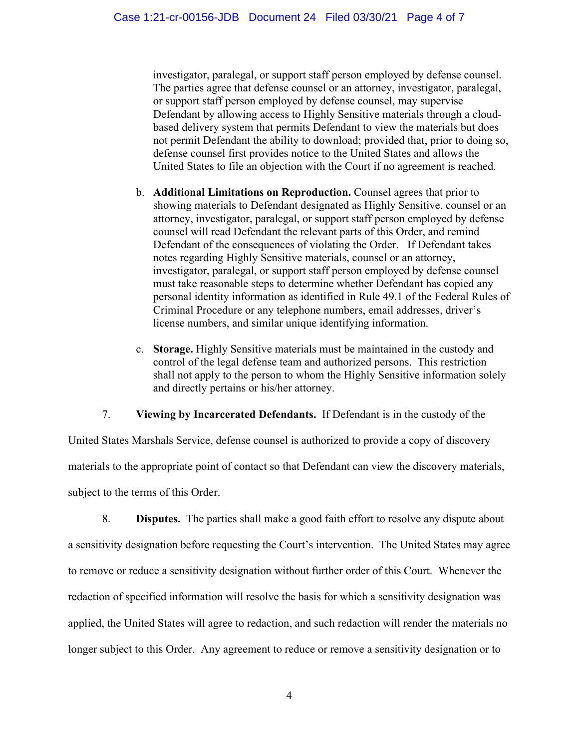investigator, paralegal, or support staff person employed by defense counsel. The parties agree that defense counsel or an attorney, investigator, paralegal, or support staff person employed by defense counsel, may supervise Defendant by allowing access to Highly Sensitive materials through a cloudbased delivery system that permits Defendant to view the materials but does not permit Defendant the ability to download; provided that, prior to doing so, defense counsel first provides notice to the United States and allows the United States to file an objection with the Court if no agreement is reached.

- b. **Additional Limitations on Reproduction.** Counsel agrees that prior to showing materials to Defendant designated as Highly Sensitive, counsel or an attorney, investigator, paralegal, or support staff person employed by defense counsel will read Defendant the relevant parts of this Order, and remind Defendant of the consequences of violating the Order. If Defendant takes notes regarding Highly Sensitive materials, counsel or an attorney, investigator, paralegal, or support staff person employed by defense counsel must take reasonable steps to determine whether Defendant has copied any personal identity information as identified in Rule 49.1 of the Federal Rules of Criminal Procedure or any telephone numbers, email addresses, driver's license numbers, and similar unique identifying information.
- c. **Storage.** Highly Sensitive materials must be maintained in the custody and control of the legal defense team and authorized persons. This restriction shall not apply to the person to whom the Highly Sensitive information solely and directly pertains or his/her attorney.

7. **Viewing by Incarcerated Defendants.** If Defendant is in the custody of the

United States Marshals Service, defense counsel is authorized to provide a copy of discovery materials to the appropriate point of contact so that Defendant can view the discovery materials, subject to the terms of this Order.

8. **Disputes.** The parties shall make a good faith effort to resolve any dispute about a sensitivity designation before requesting the Court's intervention. The United States may agree to remove or reduce a sensitivity designation without further order of this Court. Whenever the redaction of specified information will resolve the basis for which a sensitivity designation was applied, the United States will agree to redaction, and such redaction will render the materials no longer subject to this Order. Any agreement to reduce or remove a sensitivity designation or to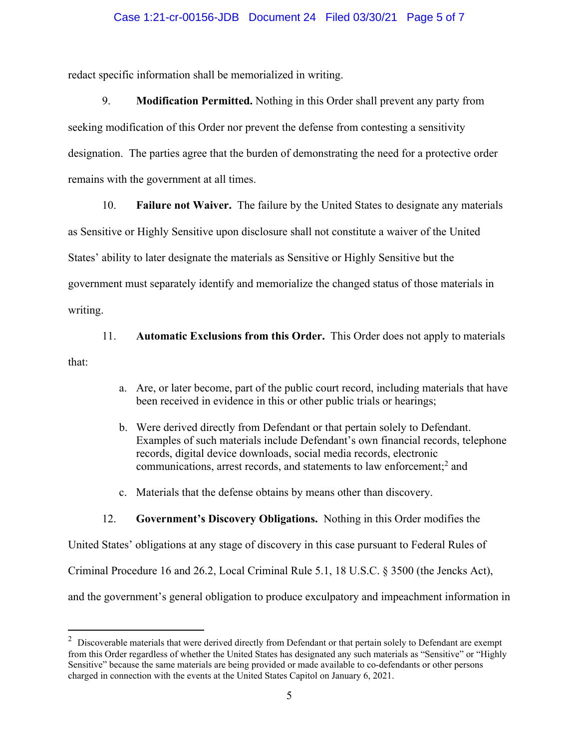#### Case 1:21-cr-00156-JDB Document 24 Filed 03/30/21 Page 5 of 7

redact specific information shall be memorialized in writing.

9. **Modification Permitted.** Nothing in this Order shall prevent any party from seeking modification of this Order nor prevent the defense from contesting a sensitivity designation. The parties agree that the burden of demonstrating the need for a protective order remains with the government at all times.

10. **Failure not Waiver.** The failure by the United States to designate any materials

as Sensitive or Highly Sensitive upon disclosure shall not constitute a waiver of the United

States' ability to later designate the materials as Sensitive or Highly Sensitive but the

government must separately identify and memorialize the changed status of those materials in

writing.

11. **Automatic Exclusions from this Order.** This Order does not apply to materials

that:

- a. Are, or later become, part of the public court record, including materials that have been received in evidence in this or other public trials or hearings;
- b. Were derived directly from Defendant or that pertain solely to Defendant. Examples of such materials include Defendant's own financial records, telephone records, digital device downloads, social media records, electronic communications, arrest records, and statements to law enforcement;<sup>2</sup> and
- c. Materials that the defense obtains by means other than discovery.

## 12. **Government's Discovery Obligations.** Nothing in this Order modifies the

United States' obligations at any stage of discovery in this case pursuant to Federal Rules of Criminal Procedure 16 and 26.2, Local Criminal Rule 5.1, 18 U.S.C. § 3500 (the Jencks Act), and the government's general obligation to produce exculpatory and impeachment information in

 $2$  Discoverable materials that were derived directly from Defendant or that pertain solely to Defendant are exempt from this Order regardless of whether the United States has designated any such materials as "Sensitive" or "Highly Sensitive" because the same materials are being provided or made available to co-defendants or other persons charged in connection with the events at the United States Capitol on January 6, 2021.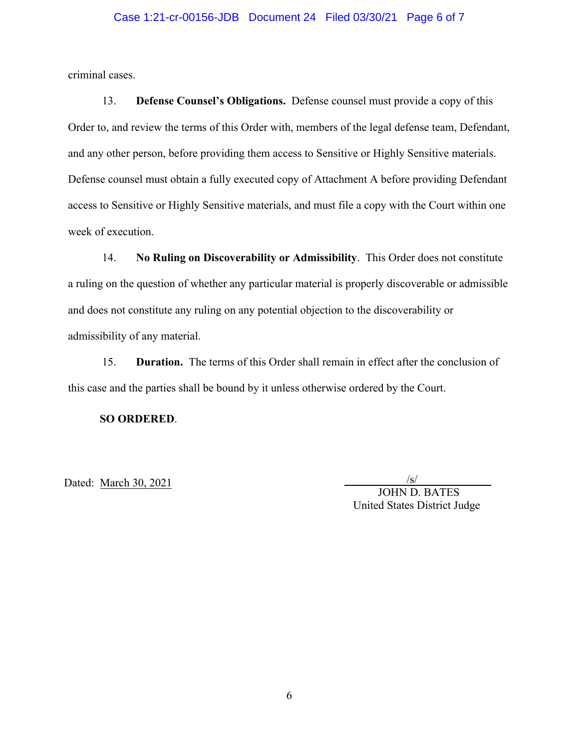#### Case 1:21-cr-00156-JDB Document 24 Filed 03/30/21 Page 6 of 7

criminal cases.

13. **Defense Counsel's Obligations.** Defense counsel must provide a copy of this Order to, and review the terms of this Order with, members of the legal defense team, Defendant, and any other person, before providing them access to Sensitive or Highly Sensitive materials. Defense counsel must obtain a fully executed copy of Attachment A before providing Defendant access to Sensitive or Highly Sensitive materials, and must file a copy with the Court within one week of execution.

14. **No Ruling on Discoverability or Admissibility**. This Order does not constitute a ruling on the question of whether any particular material is properly discoverable or admissible and does not constitute any ruling on any potential objection to the discoverability or admissibility of any material.

15. **Duration.** The terms of this Order shall remain in effect after the conclusion of this case and the parties shall be bound by it unless otherwise ordered by the Court.

**SO ORDERED**.

Dated: March 30, 2021

/s/ JOHN D. BATES United States District Judge